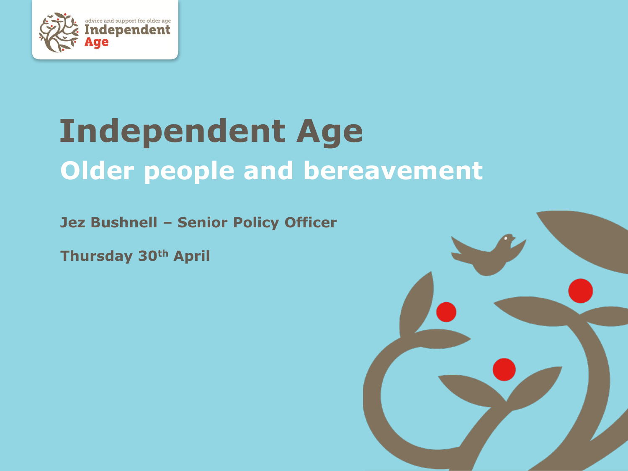

# **Independent Age Older people and bereavement**

**Jez Bushnell – Senior Policy Officer**

**Thursday 30th April**

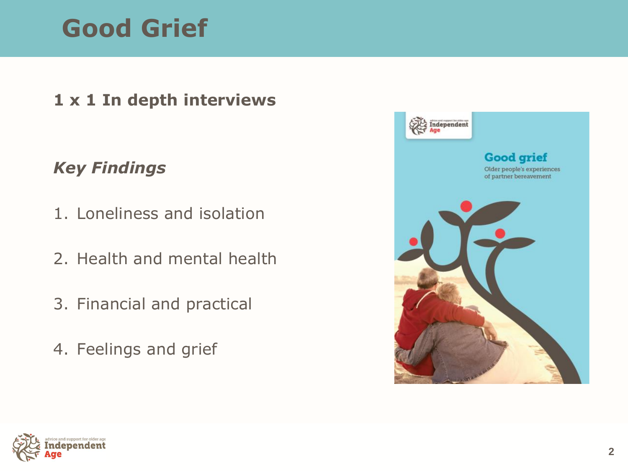### **Good Grief**

#### **1 x 1 In depth interviews**

#### *Key Findings*

- 1. Loneliness and isolation
- 2. Health and mental health
- 3. Financial and practical
- 4. Feelings and grief



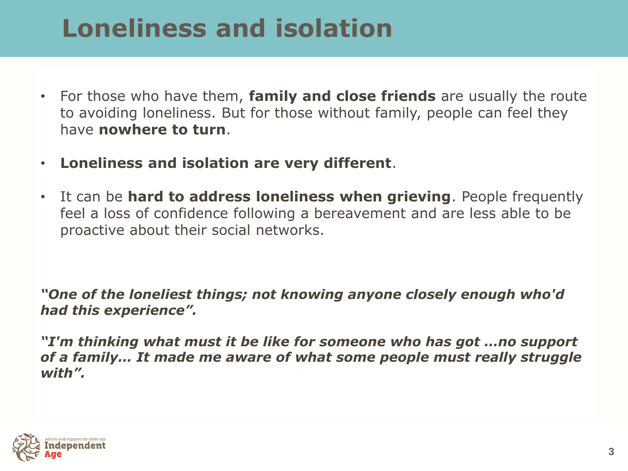### **Loneliness and isolation**

- For those who have them, **family and close friends** are usually the route to avoiding loneliness. But for those without family, people can feel they have **nowhere to turn**.
- **Loneliness and isolation are very different**.
- It can be **hard to address loneliness when grieving**. People frequently feel a loss of confidence following a bereavement and are less able to be proactive about their social networks.

*"One of the loneliest things; not knowing anyone closely enough who'd had this experience".*

*"I'm thinking what must it be like for someone who has got …no support of a family… It made me aware of what some people must really struggle with".* 

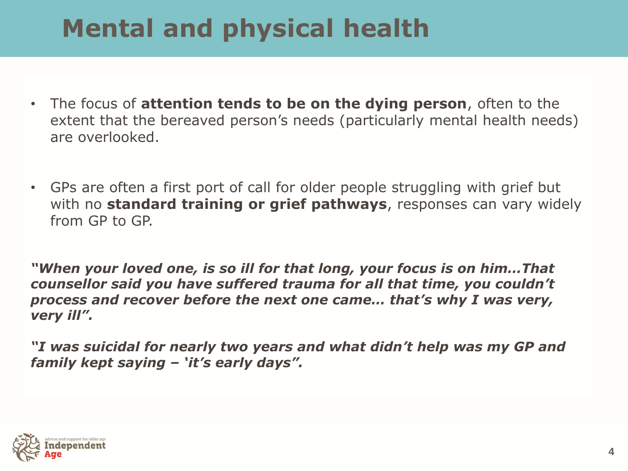## **Mental and physical health**

- The focus of **attention tends to be on the dying person**, often to the extent that the bereaved person's needs (particularly mental health needs) are overlooked.
- GPs are often a first port of call for older people struggling with grief but with no **standard training or grief pathways**, responses can vary widely from GP to GP.

*"When your loved one, is so ill for that long, your focus is on him…That counsellor said you have suffered trauma for all that time, you couldn't process and recover before the next one came… that's why I was very, very ill".*

*"I was suicidal for nearly two years and what didn't help was my GP and family kept saying – 'it's early days".*

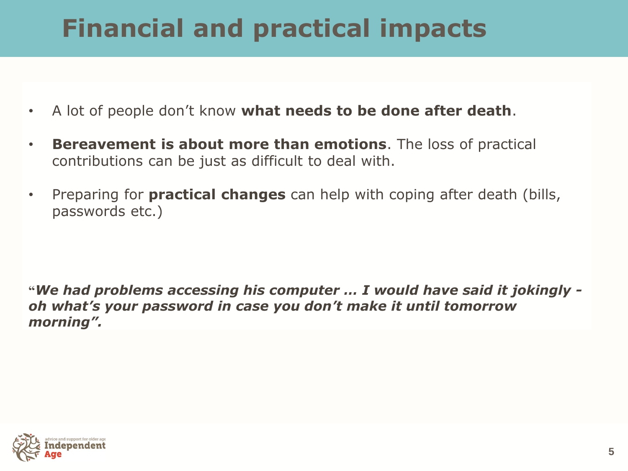# **Financial and practical impacts**

- A lot of people don't know **what needs to be done after death**.
- **Bereavement is about more than emotions**. The loss of practical contributions can be just as difficult to deal with.
- Preparing for **practical changes** can help with coping after death (bills, passwords etc.)

**"***We had problems accessing his computer … I would have said it jokingly oh what's your password in case you don't make it until tomorrow morning".*

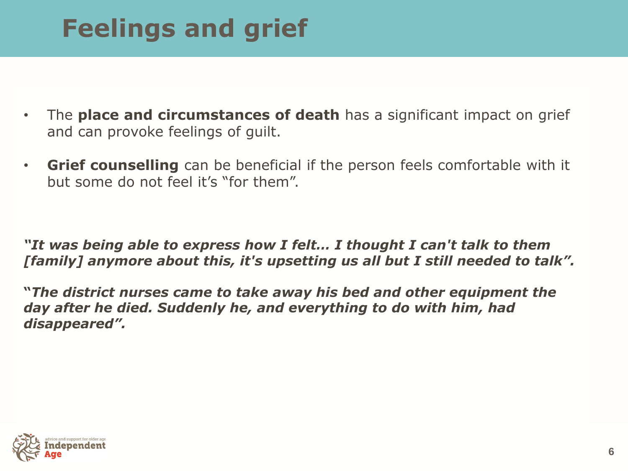# **Feelings and grief**

- The **place and circumstances of death** has a significant impact on grief and can provoke feelings of guilt.
- **Grief counselling** can be beneficial if the person feels comfortable with it but some do not feel it's "for them".

*"It was being able to express how I felt… I thought I can't talk to them [family] anymore about this, it's upsetting us all but I still needed to talk".* 

**"***The district nurses came to take away his bed and other equipment the day after he died. Suddenly he, and everything to do with him, had disappeared".*